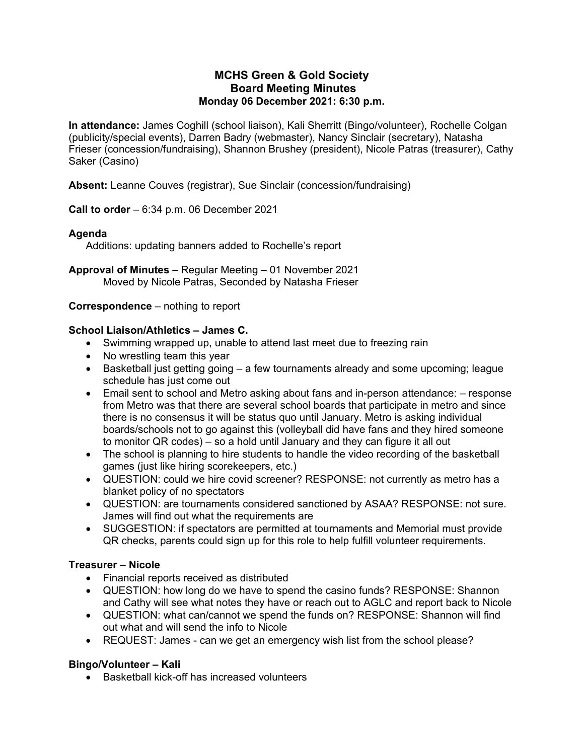### **MCHS Green & Gold Society Board Meeting Minutes Monday 06 December 2021: 6:30 p.m.**

**In attendance:** James Coghill (school liaison), Kali Sherritt (Bingo/volunteer), Rochelle Colgan (publicity/special events), Darren Badry (webmaster), Nancy Sinclair (secretary), Natasha Frieser (concession/fundraising), Shannon Brushey (president), Nicole Patras (treasurer), Cathy Saker (Casino)

**Absent:** Leanne Couves (registrar), Sue Sinclair (concession/fundraising)

**Call to order** – 6:34 p.m. 06 December 2021

# **Agenda**

Additions: updating banners added to Rochelle's report

**Approval of Minutes** – Regular Meeting – 01 November 2021 Moved by Nicole Patras, Seconded by Natasha Frieser

#### **Correspondence** – nothing to report

#### **School Liaison/Athletics – James C.**

- Swimming wrapped up, unable to attend last meet due to freezing rain
- No wrestling team this year
- Basketball just getting going a few tournaments already and some upcoming; league schedule has just come out
- Email sent to school and Metro asking about fans and in-person attendance: response from Metro was that there are several school boards that participate in metro and since there is no consensus it will be status quo until January. Metro is asking individual boards/schools not to go against this (volleyball did have fans and they hired someone to monitor QR codes) – so a hold until January and they can figure it all out
- The school is planning to hire students to handle the video recording of the basketball games (just like hiring scorekeepers, etc.)
- QUESTION: could we hire covid screener? RESPONSE: not currently as metro has a blanket policy of no spectators
- QUESTION: are tournaments considered sanctioned by ASAA? RESPONSE: not sure. James will find out what the requirements are
- SUGGESTION: if spectators are permitted at tournaments and Memorial must provide QR checks, parents could sign up for this role to help fulfill volunteer requirements.

#### **Treasurer – Nicole**

- Financial reports received as distributed
- QUESTION: how long do we have to spend the casino funds? RESPONSE: Shannon and Cathy will see what notes they have or reach out to AGLC and report back to Nicole
- QUESTION: what can/cannot we spend the funds on? RESPONSE: Shannon will find out what and will send the info to Nicole
- REQUEST: James can we get an emergency wish list from the school please?

#### **Bingo/Volunteer – Kali**

• Basketball kick-off has increased volunteers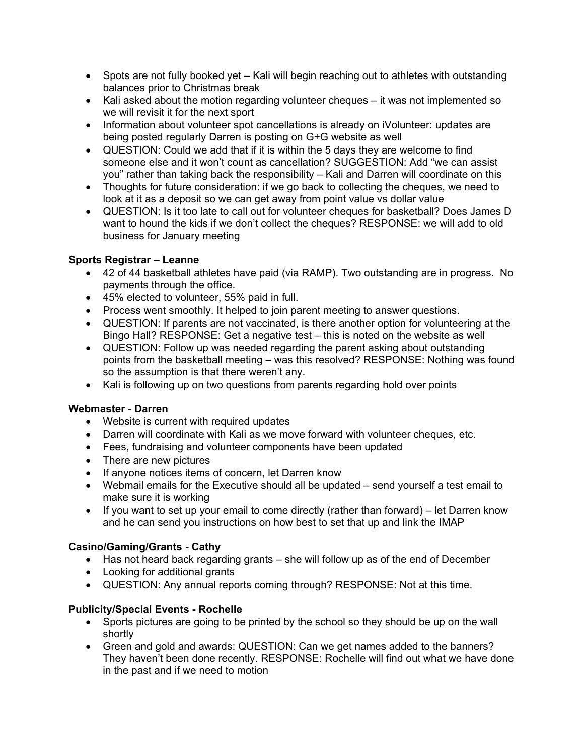- Spots are not fully booked yet Kali will begin reaching out to athletes with outstanding balances prior to Christmas break
- Kali asked about the motion regarding volunteer cheques it was not implemented so we will revisit it for the next sport
- Information about volunteer spot cancellations is already on iVolunteer: updates are being posted regularly Darren is posting on G+G website as well
- QUESTION: Could we add that if it is within the 5 days they are welcome to find someone else and it won't count as cancellation? SUGGESTION: Add "we can assist you" rather than taking back the responsibility – Kali and Darren will coordinate on this
- Thoughts for future consideration: if we go back to collecting the cheques, we need to look at it as a deposit so we can get away from point value vs dollar value
- QUESTION: Is it too late to call out for volunteer cheques for basketball? Does James D want to hound the kids if we don't collect the cheques? RESPONSE: we will add to old business for January meeting

## **Sports Registrar – Leanne**

- 42 of 44 basketball athletes have paid (via RAMP). Two outstanding are in progress. No payments through the office.
- 45% elected to volunteer, 55% paid in full.
- Process went smoothly. It helped to join parent meeting to answer questions.
- QUESTION: If parents are not vaccinated, is there another option for volunteering at the Bingo Hall? RESPONSE: Get a negative test – this is noted on the website as well
- QUESTION: Follow up was needed regarding the parent asking about outstanding points from the basketball meeting – was this resolved? RESPONSE: Nothing was found so the assumption is that there weren't any.
- Kali is following up on two questions from parents regarding hold over points

#### **Webmaster** - **Darren**

- Website is current with required updates
- Darren will coordinate with Kali as we move forward with volunteer cheques, etc.
- Fees, fundraising and volunteer components have been updated
- There are new pictures
- If anyone notices items of concern, let Darren know
- Webmail emails for the Executive should all be updated send yourself a test email to make sure it is working
- If you want to set up your email to come directly (rather than forward) let Darren know and he can send you instructions on how best to set that up and link the IMAP

# **Casino/Gaming/Grants - Cathy**

- Has not heard back regarding grants she will follow up as of the end of December
- Looking for additional grants
- QUESTION: Any annual reports coming through? RESPONSE: Not at this time.

#### **Publicity/Special Events - Rochelle**

- Sports pictures are going to be printed by the school so they should be up on the wall shortly
- Green and gold and awards: QUESTION: Can we get names added to the banners? They haven't been done recently. RESPONSE: Rochelle will find out what we have done in the past and if we need to motion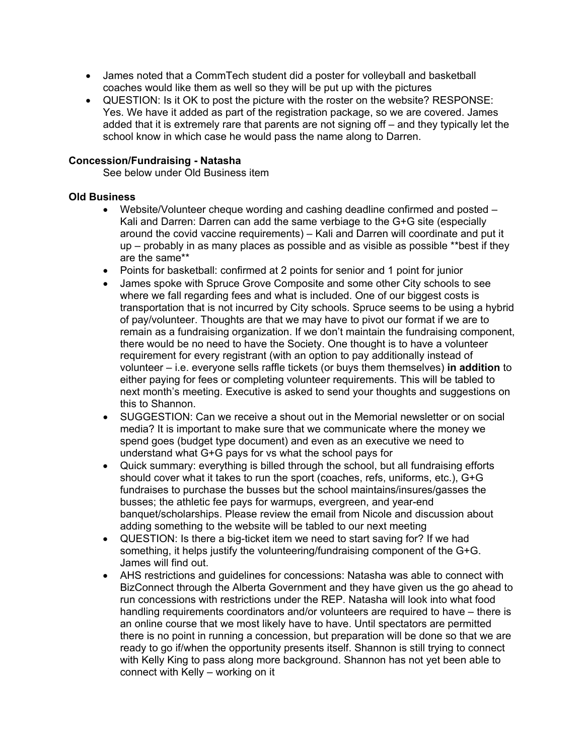- James noted that a CommTech student did a poster for volleyball and basketball coaches would like them as well so they will be put up with the pictures
- QUESTION: Is it OK to post the picture with the roster on the website? RESPONSE: Yes. We have it added as part of the registration package, so we are covered. James added that it is extremely rare that parents are not signing off – and they typically let the school know in which case he would pass the name along to Darren.

#### **Concession/Fundraising - Natasha**

See below under Old Business item

#### **Old Business**

- Website/Volunteer cheque wording and cashing deadline confirmed and posted Kali and Darren: Darren can add the same verbiage to the G+G site (especially around the covid vaccine requirements) – Kali and Darren will coordinate and put it up – probably in as many places as possible and as visible as possible \*\*best if they are the same\*\*
- Points for basketball: confirmed at 2 points for senior and 1 point for junior
- James spoke with Spruce Grove Composite and some other City schools to see where we fall regarding fees and what is included. One of our biggest costs is transportation that is not incurred by City schools. Spruce seems to be using a hybrid of pay/volunteer. Thoughts are that we may have to pivot our format if we are to remain as a fundraising organization. If we don't maintain the fundraising component, there would be no need to have the Society. One thought is to have a volunteer requirement for every registrant (with an option to pay additionally instead of volunteer – i.e. everyone sells raffle tickets (or buys them themselves) **in addition** to either paying for fees or completing volunteer requirements. This will be tabled to next month's meeting. Executive is asked to send your thoughts and suggestions on this to Shannon.
- SUGGESTION: Can we receive a shout out in the Memorial newsletter or on social media? It is important to make sure that we communicate where the money we spend goes (budget type document) and even as an executive we need to understand what G+G pays for vs what the school pays for
- Quick summary: everything is billed through the school, but all fundraising efforts should cover what it takes to run the sport (coaches, refs, uniforms, etc.), G+G fundraises to purchase the busses but the school maintains/insures/gasses the busses; the athletic fee pays for warmups, evergreen, and year-end banquet/scholarships. Please review the email from Nicole and discussion about adding something to the website will be tabled to our next meeting
- QUESTION: Is there a big-ticket item we need to start saving for? If we had something, it helps justify the volunteering/fundraising component of the G+G. James will find out.
- AHS restrictions and guidelines for concessions: Natasha was able to connect with BizConnect through the Alberta Government and they have given us the go ahead to run concessions with restrictions under the REP. Natasha will look into what food handling requirements coordinators and/or volunteers are required to have – there is an online course that we most likely have to have. Until spectators are permitted there is no point in running a concession, but preparation will be done so that we are ready to go if/when the opportunity presents itself. Shannon is still trying to connect with Kelly King to pass along more background. Shannon has not yet been able to connect with Kelly – working on it